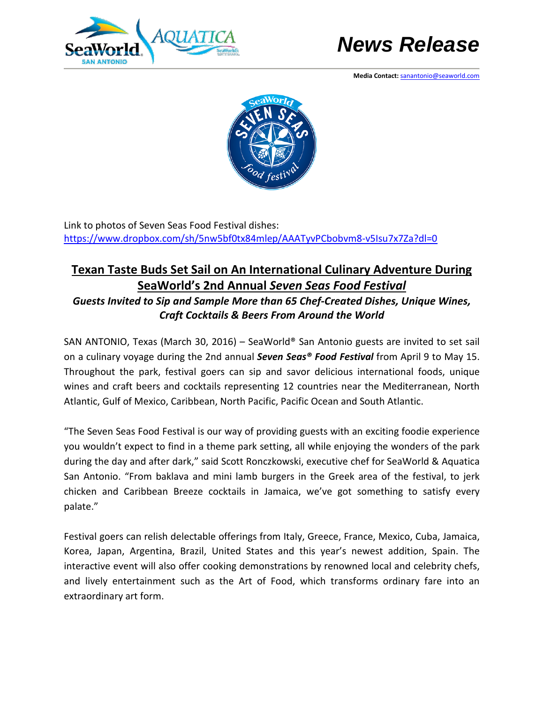



**Media Contact:** [sanantonio@seaworld.com](mailto:sanantonio@seaworld.com) 



Link to photos of Seven Seas Food Festival dishes: <https://www.dropbox.com/sh/5nw5bf0tx84mlep/AAATyvPCbobvm8-v5Isu7x7Za?dl=0>

## **Texan Taste Buds Set Sail on An International Culinary Adventure During SeaWorld's 2nd Annual** *Seven Seas Food Festival*

*Guests Invited to Sip and Sample More than 65 Chef-Created Dishes, Unique Wines, Craft Cocktails & Beers From Around the World*

SAN ANTONIO, Texas (March 30, 2016) – SeaWorld® San Antonio guests are invited to set sail on a culinary voyage during the 2nd annual *Seven Seas® Food Festival* from April 9 to May 15. Throughout the park, festival goers can sip and savor delicious international foods, unique wines and craft beers and cocktails representing 12 countries near the Mediterranean, North Atlantic, Gulf of Mexico, Caribbean, North Pacific, Pacific Ocean and South Atlantic.

"The Seven Seas Food Festival is our way of providing guests with an exciting foodie experience you wouldn't expect to find in a theme park setting, all while enjoying the wonders of the park during the day and after dark," said Scott Ronczkowski, executive chef for SeaWorld & Aquatica San Antonio. "From baklava and mini lamb burgers in the Greek area of the festival, to jerk chicken and Caribbean Breeze cocktails in Jamaica, we've got something to satisfy every palate."

Festival goers can relish delectable offerings from Italy, Greece, France, Mexico, Cuba, Jamaica, Korea, Japan, Argentina, Brazil, United States and this year's newest addition, Spain. The interactive event will also offer cooking demonstrations by renowned local and celebrity chefs, and lively entertainment such as the Art of Food, which transforms ordinary fare into an extraordinary art form.